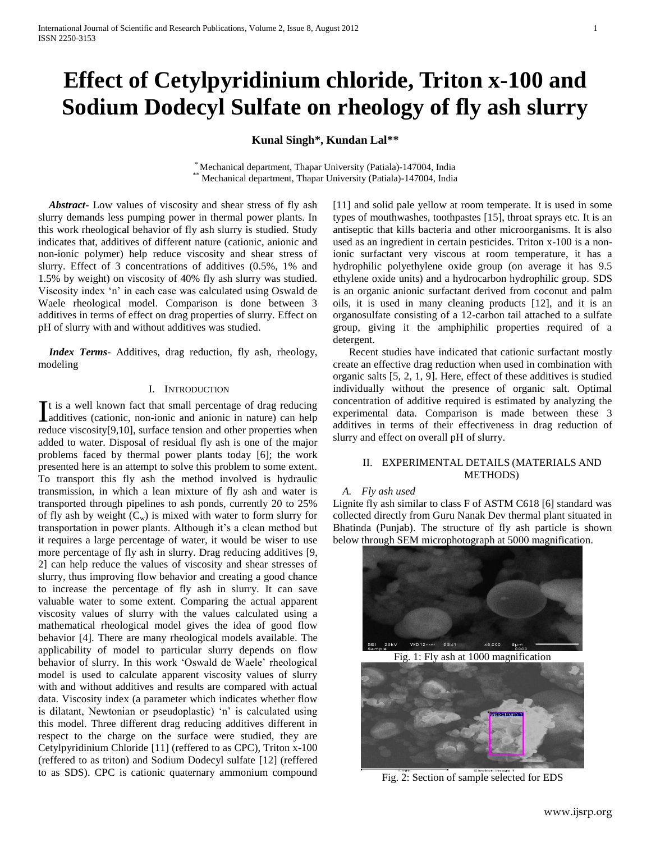# **Effect of Cetylpyridinium chloride, Triton x-100 and Sodium Dodecyl Sulfate on rheology of fly ash slurry**

## **Kunal Singh\*, Kundan Lal\*\***

\* Mechanical department, Thapar University (Patiala)-147004, India Mechanical department, Thapar University (Patiala)-147004, India

 *Abstract***-** Low values of viscosity and shear stress of fly ash slurry demands less pumping power in thermal power plants. In this work rheological behavior of fly ash slurry is studied. Study indicates that, additives of different nature (cationic, anionic and non-ionic polymer) help reduce viscosity and shear stress of slurry. Effect of 3 concentrations of additives (0.5%, 1% and 1.5% by weight) on viscosity of 40% fly ash slurry was studied. Viscosity index 'n' in each case was calculated using Oswald de Waele rheological model. Comparison is done between 3 additives in terms of effect on drag properties of slurry. Effect on pH of slurry with and without additives was studied.

 *Index Terms*- Additives, drag reduction, fly ash, rheology, modeling

## I. INTRODUCTION

t is a well known fact that small percentage of drag reducing It is a well known fact that small percentage of drag reducing<br>dadditives (cationic, non-ionic and anionic in nature) can help reduce viscosity[9,10], surface tension and other properties when added to water. Disposal of residual fly ash is one of the major problems faced by thermal power plants today [6]; the work presented here is an attempt to solve this problem to some extent. To transport this fly ash the method involved is hydraulic transmission, in which a lean mixture of fly ash and water is transported through pipelines to ash ponds, currently 20 to 25% of fly ash by weight  $(C_w)$  is mixed with water to form slurry for transportation in power plants. Although it's a clean method but it requires a large percentage of water, it would be wiser to use more percentage of fly ash in slurry. Drag reducing additives [9, 2] can help reduce the values of viscosity and shear stresses of slurry, thus improving flow behavior and creating a good chance to increase the percentage of fly ash in slurry. It can save valuable water to some extent. Comparing the actual apparent viscosity values of slurry with the values calculated using a mathematical rheological model gives the idea of good flow behavior [4]. There are many rheological models available. The applicability of model to particular slurry depends on flow behavior of slurry. In this work 'Oswald de Waele' rheological model is used to calculate apparent viscosity values of slurry with and without additives and results are compared with actual data. Viscosity index (a parameter which indicates whether flow is dilatant, Newtonian or pseudoplastic) 'n' is calculated using this model. Three different drag reducing additives different in respect to the charge on the surface were studied, they are Cetylpyridinium Chloride [11] (reffered to as CPC), Triton x-100 (reffered to as triton) and Sodium Dodecyl sulfate [12] (reffered to as SDS). CPC is cationic quaternary ammonium compound

[11] and solid pale yellow at room temperate. It is used in some types of mouthwashes, toothpastes [15], throat sprays etc. It is an antiseptic that kills bacteria and other microorganisms. It is also used as an ingredient in certain pesticides. Triton x-100 is a nonionic surfactant very viscous at room temperature, it has a hydrophilic polyethylene oxide group (on average it has 9.5 ethylene oxide units) and a hydrocarbon hydrophilic group. SDS is an organic anionic surfactant derived from coconut and palm oils, it is used in many cleaning products [12], and it is an organosulfate consisting of a 12-carbon tail attached to a sulfate group, giving it the amphiphilic properties required of a detergent.

 Recent studies have indicated that cationic surfactant mostly create an effective drag reduction when used in combination with organic salts [5, 2, 1, 9]. Here, effect of these additives is studied individually without the presence of organic salt. Optimal concentration of additive required is estimated by analyzing the experimental data. Comparison is made between these 3 additives in terms of their effectiveness in drag reduction of slurry and effect on overall pH of slurry.

## II. EXPERIMENTAL DETAILS (MATERIALS AND METHODS)

## *A. Fly ash used*

Lignite fly ash similar to class F of ASTM C618 [6] standard was collected directly from Guru Nanak Dev thermal plant situated in Bhatinda (Punjab). The structure of fly ash particle is shown below through SEM microphotograph at 5000 magnification.



Fig. 1: Fly ash at 1000 magnification



Fig. 2: Section of sample selected for EDS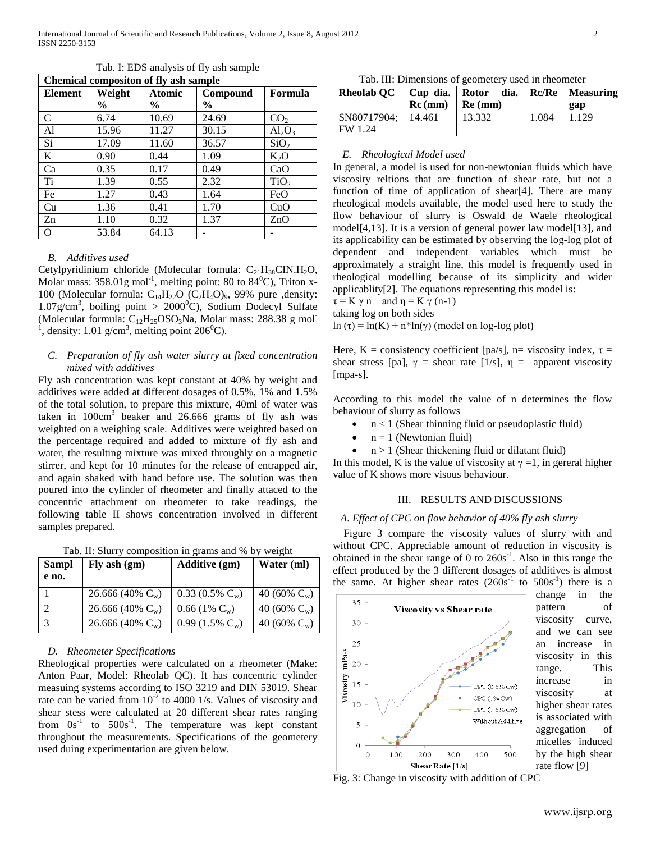| <b>Chemical composition of fly ash sample</b> |               |               |               |                  |
|-----------------------------------------------|---------------|---------------|---------------|------------------|
| <b>Element</b>                                | Weight        | <b>Atomic</b> | Compound      | Formula          |
|                                               | $\frac{6}{9}$ | $\frac{0}{0}$ | $\frac{6}{9}$ |                  |
| C                                             | 6.74          | 10.69         | 24.69         | CO <sub>2</sub>  |
| A1                                            | 15.96         | 11.27         | 30.15         | $Al_2O_3$        |
| Si                                            | 17.09         | 11.60         | 36.57         | SiO <sub>2</sub> |
| K                                             | 0.90          | 0.44          | 1.09          | $K_2O$           |
| Ca                                            | 0.35          | 0.17          | 0.49          | CaO              |
| Ti                                            | 1.39          | 0.55          | 2.32          | TiO <sub>2</sub> |
| Fe                                            | 1.27          | 0.43          | 1.64          | FeO              |
| Cu                                            | 1.36          | 0.41          | 1.70          | CuO              |
| Zn                                            | 1.10          | 0.32          | 1.37          | ZnO              |
| Ω                                             | 53.84         | 64.13         |               |                  |

Tab. I: EDS analysis of fly ash sample

### *B. Additives used*

Cetylpyridinium chloride (Molecular fornula:  $C_{21}H_{38}CIN.H_2O$ , Molar mass:  $358.01g$  mol<sup>-1</sup>, melting point: 80 to  $84^{\circ}$ C), Triton x-100 (Molecular fornula:  $C_{14}H_{22}O$  ( $C_2H_4O$ )<sub>9</sub>, 99% pure ,density:  $1.07$ g/cm<sup>3</sup>, boiling point > 2000<sup>0</sup>C), Sodium Dodecyl Sulfate (Molecular formula:  $C_{12}H_{25}OSO_3$ Na, Molar mass: 288.38 g mol<sup>-</sup> <sup>1</sup>, density: 1.01 g/cm<sup>3</sup>, melting point 206<sup>0</sup>C).

## *C. Preparation of fly ash water slurry at fixed concentration mixed with additives*

Fly ash concentration was kept constant at 40% by weight and additives were added at different dosages of 0.5%, 1% and 1.5% of the total solution, to prepare this mixture, 40ml of water was taken in  $100 \text{cm}^3$  beaker and 26.666 grams of fly ash was weighted on a weighing scale. Additives were weighted based on the percentage required and added to mixture of fly ash and water, the resulting mixture was mixed throughly on a magnetic stirrer, and kept for 10 minutes for the release of entrapped air, and again shaked with hand before use. The solution was then poured into the cylinder of rheometer and finally attaced to the concentric attachment on rheometer to take readings, the following table II shows concentration involved in different samples prepared.

Tab. II: Slurry composition in grams and % by weight

| <b>Sampl</b><br>e no. | Fly ash $(gm)$      | <b>Additive (gm)</b>                | Water (ml)      |
|-----------------------|---------------------|-------------------------------------|-----------------|
|                       | 26.666 (40% $C_w$ ) | $0.33(0.5\% \text{ C}_{w})$         | 40 (60% $C_w$ ) |
|                       | 26.666 (40% $C_w$ ) | $0.66(1\% C_w)$                     | 40 (60% $C_w$ ) |
| 3                     | 26.666 (40% $C_w$ ) | 0.99 $(1.5\% \text{ C}_{\text{w}})$ | 40 (60% $C_w$ ) |

## *D. Rheometer Specifications*

Rheological properties were calculated on a rheometer (Make: Anton Paar, Model: Rheolab QC). It has concentric cylinder measuing systems according to ISO 3219 and DIN 53019. Shear rate can be varied from  $10^{-2}$  to 4000 1/s. Values of viscosity and shear stess were calculated at 20 different shear rates ranging from  $0s^{-1}$  to  $500s^{-1}$ . The temperature was kept constant throughout the measurements. Specifications of the geometery used duing experimentation are given below.

Tab. III: Dimensions of geometery used in rheometer

|                                 | $Re (mm)$ Re (mm) | Rheolab QC   Cup dia.   Rotor dia.   Rc/Re   Measuring |       | gap   |
|---------------------------------|-------------------|--------------------------------------------------------|-------|-------|
| SN80717904;   14.461<br>FW 1.24 |                   | 13.332                                                 | 1.084 | 1.129 |

#### *E. Rheological Model used*

In general, a model is used for non-newtonian fluids which have viscosity reltions that are function of shear rate, but not a function of time of application of shear[4]. There are many rheological models available, the model used here to study the flow behaviour of slurry is Oswald de Waele rheological model[4,13]. It is a version of general power law model[13], and its applicability can be estimated by observing the log-log plot of dependent and independent variables which must be approximately a straight line, this model is frequently used in rheological modelling because of its simplicity and wider applicablity[2]. The equations representing this model is:

 $\tau = K \gamma n$  and  $\eta = K \gamma (n-1)$ 

taking log on both sides

ln  $(\tau)$  = ln(K) + n\*ln(γ) (model on log-log plot)

Here, K = consistency coefficient [pa/s], n= viscosity index,  $\tau$  = shear stress [pa],  $\gamma$  = shear rate [1/s],  $\eta$  = apparent viscosity [mpa-s].

According to this model the value of n determines the flow behaviour of slurry as follows

- $n < 1$  (Shear thinning fluid or pseudoplastic fluid)
- $n = 1$  (Newtonian fluid)
- $n > 1$  (Shear thickening fluid or dilatant fluid)

In this model, K is the value of viscosity at  $\gamma = 1$ , in gereral higher value of K shows more visous behaviour.

## III. RESULTS AND DISCUSSIONS

## *A. Effect of CPC on flow behavior of 40% fly ash slurry*

 Figure 3 compare the viscosity values of slurry with and without CPC. Appreciable amount of reduction in viscosity is obtained in the shear range of 0 to  $260s<sup>-1</sup>$ . Also in this range the effect produced by the 3 different dosages of additives is almost the same. At higher shear rates  $(260s^{-1}$  to  $500s^{-1})$  there is a



change in the pattern of viscosity curve, and we can see an increase in viscosity in this range. This increase in viscosity at higher shear rates is associated with aggregation of micelles induced by the high shear rate flow [9]

Fig. 3: Change in viscosity with addition of CPC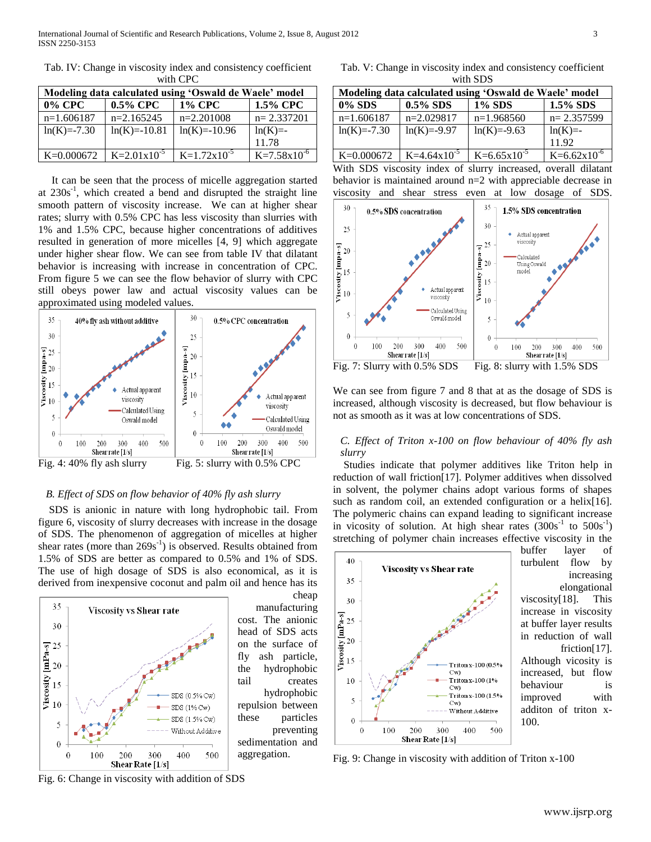| Modeling data calculated using 'Oswald de Waele' model |                  |                  |                       |  |
|--------------------------------------------------------|------------------|------------------|-----------------------|--|
| $0\%$ CPC                                              | $0.5\%$ CPC      | <b>1% CPC</b>    | 1.5% CPC              |  |
| $n=1.606187$                                           | $n=2.165245$     | $n=2.201008$     | $n=2.337201$          |  |
| $ln(K) = -7.30$                                        | $ln(K) = -10.81$ | $ln(K)=10.96$    | $ln(K)$ =-            |  |
|                                                        |                  |                  | 11.78                 |  |
| K=0.000672                                             | $K=2.01x10^{-5}$ | $K=1.72x10^{-5}$ | $K=7.58\times10^{-6}$ |  |

Tab. IV: Change in viscosity index and consistency coefficient with CPC

 It can be seen that the process of micelle aggregation started at  $230s^{-1}$ , which created a bend and disrupted the straight line smooth pattern of viscosity increase. We can at higher shear rates; slurry with 0.5% CPC has less viscosity than slurries with 1% and 1.5% CPC, because higher concentrations of additives resulted in generation of more micelles [4, 9] which aggregate under higher shear flow. We can see from table IV that dilatant behavior is increasing with increase in concentration of CPC. From figure 5 we can see the flow behavior of slurry with CPC still obeys power law and actual viscosity values can be approximated using modeled values.



## *B. Effect of SDS on flow behavior of 40% fly ash slurry*

 SDS is anionic in nature with long hydrophobic tail. From figure 6, viscosity of slurry decreases with increase in the dosage of SDS. The phenomenon of aggregation of micelles at higher shear rates (more than  $269s^{-1}$ ) is observed. Results obtained from 1.5% of SDS are better as compared to 0.5% and 1% of SDS. The use of high dosage of SDS is also economical, as it is derived from inexpensive coconut and palm oil and hence has its



Fig. 6: Change in viscosity with addition of SDS

cheap manufacturing cost. The anionic head of SDS acts on the surface of fly ash particle, the hydrophobic tail creates hydrophobic repulsion between these particles preventing sedimentation and aggregation.

Tab. V: Change in viscosity index and consistency coefficient with SDS

| Modeling data calculated using 'Oswald de Waele' model |                  |                  |                  |
|--------------------------------------------------------|------------------|------------------|------------------|
| 0% SDS                                                 | $0.5\%$ SDS      | <b>1% SDS</b>    | $1.5\%$ SDS      |
| $n=1.606187$                                           | n=2.029817       | $n=1.968560$     | $n=2.357599$     |
| $ln(K) = -7.30$                                        | $ln(K)=-9.97$    | $ln(K) = -9.63$  | $ln(K)$ =-       |
|                                                        |                  |                  | 11.92            |
| $K=0.000672$                                           | $K=4.64x10^{-5}$ | $K=6.65x10^{-5}$ | $K=6.62x10^{-6}$ |

With SDS viscosity index of slurry increased, overall dilatant behavior is maintained around n=2 with appreciable decrease in viscosity and shear stress even at low dosage of SDS.



We can see from figure 7 and 8 that at as the dosage of SDS is increased, although viscosity is decreased, but flow behaviour is not as smooth as it was at low concentrations of SDS.

## *C. Effect of Triton x-100 on flow behaviour of 40% fly ash slurry*

 Studies indicate that polymer additives like Triton help in reduction of wall friction[17]. Polymer additives when dissolved in solvent, the polymer chains adopt various forms of shapes such as random coil, an extended configuration or a helix[16]. The polymeric chains can expand leading to significant increase in vicosity of solution. At high shear rates  $(300s<sup>-1</sup>$  to  $500s<sup>-1</sup>)$ stretching of polymer chain increases effective viscosity in the



buffer layer of turbulent flow by increasing elongational viscosity[18]. This increase in viscosity at buffer layer results in reduction of wall friction[17].

Although vicosity is increased, but flow behaviour is improved with additon of triton x-100.

Fig. 9: Change in viscosity with addition of Triton x-100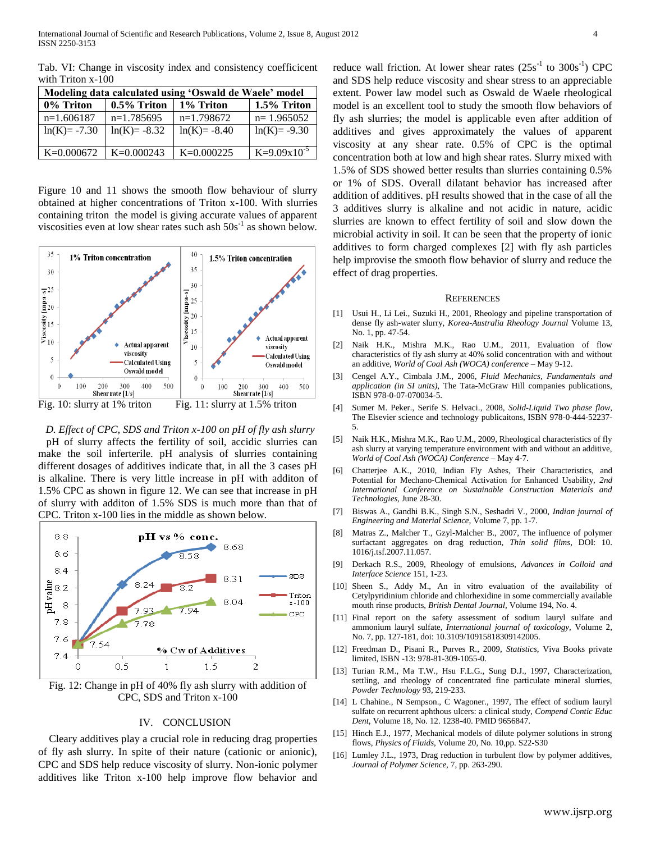| Modeling data calculated using 'Oswald de Waele' model |                 |                 |                  |
|--------------------------------------------------------|-----------------|-----------------|------------------|
| 0% Triton                                              | 0.5% Triton     | 1% Triton       | 1.5% Triton      |
| $n=1.606187$                                           | $n=1.785695$    | $n=1.798672$    | $n=1.965052$     |
| $ln(K) = -7.30$                                        | $ln(K) = -8.32$ | $ln(K) = -8.40$ | $ln(K) = -9.30$  |
| K=0.000672                                             | $K=0.000243$    | $K=0.000225$    | $K=9.09x10^{-5}$ |

Tab. VI: Change in viscosity index and consistency coefficicent with Triton x-100

Figure 10 and 11 shows the smooth flow behaviour of slurry obtained at higher concentrations of Triton x-100. With slurries containing triton the model is giving accurate values of apparent viscosities even at low shear rates such ash  $50s<sup>-1</sup>$  as shown below.



*D. Effect of CPC, SDS and Triton x-100 on pH of fly ash slurry* pH of slurry affects the fertility of soil, accidic slurries can make the soil inferterile. pH analysis of slurries containing different dosages of additives indicate that, in all the 3 cases pH is alkaline. There is very little increase in pH with additon of 1.5% CPC as shown in figure 12. We can see that increase in pH of slurry with additon of 1.5% SDS is much more than that of CPC. Triton x-100 lies in the middle as shown below.



Fig. 12: Change in pH of 40% fly ash slurry with addition of CPC, SDS and Triton x-100

#### IV. CONCLUSION

Cleary additives play a crucial role in reducing drag properties of fly ash slurry. In spite of their nature (cationic or anionic), CPC and SDS help reduce viscosity of slurry. Non-ionic polymer additives like Triton x-100 help improve flow behavior and

reduce wall friction. At lower shear rates  $(25s<sup>-1</sup>$  to  $300s<sup>-1</sup>)$  CPC and SDS help reduce viscosity and shear stress to an appreciable extent. Power law model such as Oswald de Waele rheological model is an excellent tool to study the smooth flow behaviors of fly ash slurries; the model is applicable even after addition of additives and gives approximately the values of apparent viscosity at any shear rate. 0.5% of CPC is the optimal concentration both at low and high shear rates. Slurry mixed with 1.5% of SDS showed better results than slurries containing 0.5% or 1% of SDS. Overall dilatant behavior has increased after addition of additives. pH results showed that in the case of all the 3 additives slurry is alkaline and not acidic in nature, acidic slurries are known to effect fertility of soil and slow down the microbial activity in soil. It can be seen that the property of ionic additives to form charged complexes [2] with fly ash particles help improvise the smooth flow behavior of slurry and reduce the effect of drag properties.

#### REFERENCES

- [1] Usui H., Li Lei., Suzuki H., 2001, Rheology and pipeline transportation of dense fly ash-water slurry, *Korea-Australia Rheology Journal* Volume 13, No. 1, pp. 47-54.
- [2] Naik H.K., Mishra M.K., Rao U.M., 2011, Evaluation of flow characteristics of fly ash slurry at 40% solid concentration with and without an additive, *World of Coal Ash (WOCA) conference –* May 9-12.
- [3] Cengel A.Y., Cimbala J.M., 2006, *Fluid Mechanics, Fundamentals and application (in SI units),* The Tata-McGraw Hill companies publications, ISBN 978-0-07-070034-5.
- [4] Sumer M. Peker., Serife S. Helvaci., 2008, *Solid-Liquid Two phase flow,*  The Elsevier science and technology publicaitons, ISBN 978-0-444-52237- 5.
- [5] Naik H.K., Mishra M.K., Rao U.M., 2009, Rheological characteristics of fly ash slurry at varying temperature environment with and without an additive, *World of Coal Ash (WOCA) Conference* – May 4-7.
- [6] Chatterjee A.K., 2010, Indian Fly Ashes, Their Characteristics, and Potential for Mechano-Chemical Activation for Enhanced Usability, *2nd International Conference on Sustainable Construction Materials and Technologies,* June 28-30.
- [7] Biswas A., Gandhi B.K., Singh S.N., Seshadri V., 2000, *Indian journal of Engineering and Material Science,* Volume 7, pp. 1-7.
- [8] Matras Z., Malcher T., Gzyl-Malcher B., 2007, The influence of polymer surfactant aggregates on drag reduction, *Thin solid films*, DOI: 10. 1016/j.tsf.2007.11.057.
- [9] Derkach R.S., 2009, Rheology of emulsions, *Advances in Colloid and Interface Science* 151, 1-23.
- [10] Sheen S., Addy M., An in vitro evaluation of the availability of Cetylpyridinium chloride and chlorhexidine in some commercially available mouth rinse products, *British Dental Journal,* Volume 194, No. 4.
- [11] Final report on the safety assessment of sodium lauryl sulfate and ammonium lauryl sulfate, *International journal of toxicology,* Volume 2, No. 7, pp. 127-181, doi: 10.3109/10915818309142005.
- [12] Freedman D., Pisani R., Purves R., 2009, *Statistics*, Viva Books private limited, ISBN -13: 978-81-309-1055-0.
- [13] Turian R.M., Ma T.W., Hsu F.L.G., Sung D.J., 1997, Characterization, settling, and rheology of concentrated fine particulate mineral slurries, *Powder Technology* 93, 219-233.
- [14] L Chahine., N Sempson., C Wagoner., 1997, The effect of sodium lauryl sulfate on recurrent aphthous ulcers: a clinical study, *Compend Contic Educ Dent*, Volume 18, No. 12. 1238-40. PMID 9656847.
- [15] Hinch E.J., 1977, Mechanical models of dilute polymer solutions in strong flows, *Physics of Fluids*, Volume 20, No. 10,pp. S22-S30
- [16] Lumley J.L., 1973, Drag reduction in turbulent flow by polymer additives, *Journal of Polymer Science,* 7, pp. 263-290.